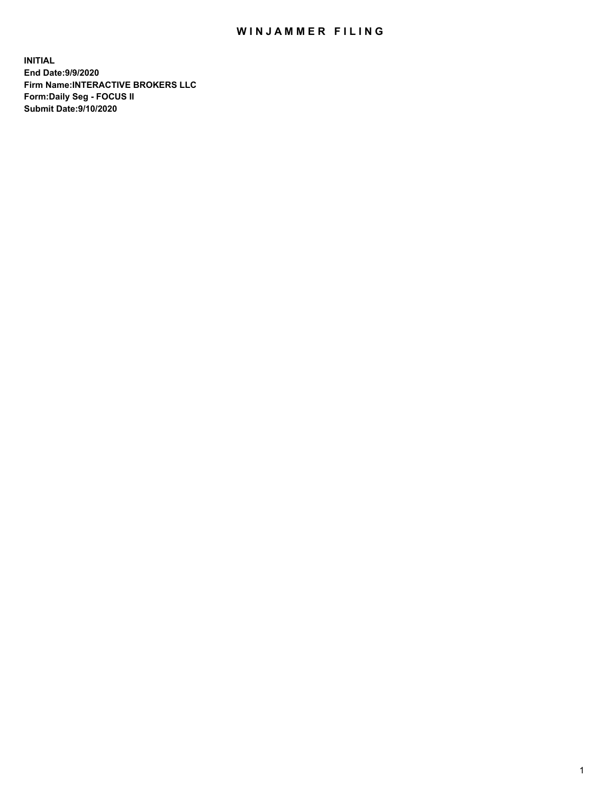## WIN JAMMER FILING

**INITIAL End Date:9/9/2020 Firm Name:INTERACTIVE BROKERS LLC Form:Daily Seg - FOCUS II Submit Date:9/10/2020**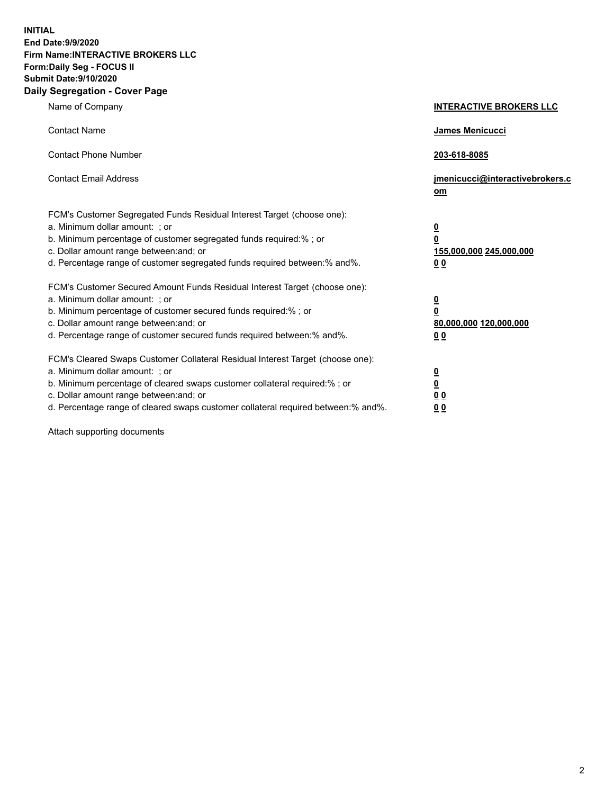**INITIAL End Date:9/9/2020 Firm Name:INTERACTIVE BROKERS LLC Form:Daily Seg - FOCUS II Submit Date:9/10/2020 Daily Segregation - Cover Page**

| Name of Company                                                                                                                                                                                                                                                                                                                | <b>INTERACTIVE BROKERS LLC</b>                                                                 |
|--------------------------------------------------------------------------------------------------------------------------------------------------------------------------------------------------------------------------------------------------------------------------------------------------------------------------------|------------------------------------------------------------------------------------------------|
| <b>Contact Name</b>                                                                                                                                                                                                                                                                                                            | <b>James Menicucci</b>                                                                         |
| <b>Contact Phone Number</b>                                                                                                                                                                                                                                                                                                    | 203-618-8085                                                                                   |
| <b>Contact Email Address</b>                                                                                                                                                                                                                                                                                                   | jmenicucci@interactivebrokers.c<br>om                                                          |
| FCM's Customer Segregated Funds Residual Interest Target (choose one):<br>a. Minimum dollar amount: ; or<br>b. Minimum percentage of customer segregated funds required:% ; or<br>c. Dollar amount range between: and; or<br>d. Percentage range of customer segregated funds required between:% and%.                         | $\overline{\mathbf{0}}$<br>$\overline{\mathbf{0}}$<br>155,000,000 245,000,000<br>00            |
| FCM's Customer Secured Amount Funds Residual Interest Target (choose one):<br>a. Minimum dollar amount: ; or<br>b. Minimum percentage of customer secured funds required:%; or<br>c. Dollar amount range between: and; or<br>d. Percentage range of customer secured funds required between:% and%.                            | $\overline{\mathbf{0}}$<br>$\overline{\mathbf{0}}$<br>80,000,000 120,000,000<br>0 <sub>0</sub> |
| FCM's Cleared Swaps Customer Collateral Residual Interest Target (choose one):<br>a. Minimum dollar amount: ; or<br>b. Minimum percentage of cleared swaps customer collateral required:% ; or<br>c. Dollar amount range between: and; or<br>d. Percentage range of cleared swaps customer collateral required between:% and%. | $\overline{\mathbf{0}}$<br><u>0</u><br>0 <sub>0</sub><br>00                                    |

Attach supporting documents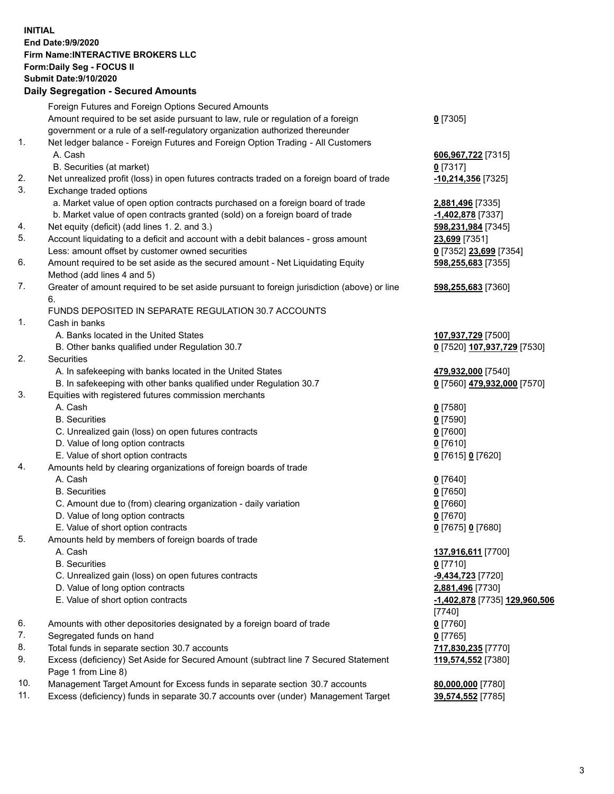**INITIAL End Date:9/9/2020 Firm Name:INTERACTIVE BROKERS LLC Form:Daily Seg - FOCUS II Submit Date:9/10/2020 Daily Segregation - Secured Amounts**

|     | Daily Segregation - Secured Amounts                                                                        |                                      |
|-----|------------------------------------------------------------------------------------------------------------|--------------------------------------|
|     | Foreign Futures and Foreign Options Secured Amounts                                                        |                                      |
|     | Amount required to be set aside pursuant to law, rule or regulation of a foreign                           | $0$ [7305]                           |
|     | government or a rule of a self-regulatory organization authorized thereunder                               |                                      |
| 1.  | Net ledger balance - Foreign Futures and Foreign Option Trading - All Customers                            |                                      |
|     | A. Cash                                                                                                    | 606,967,722 [7315]                   |
|     | B. Securities (at market)                                                                                  | $0$ [7317]                           |
| 2.  | Net unrealized profit (loss) in open futures contracts traded on a foreign board of trade                  | -10,214,356 [7325]                   |
| 3.  | Exchange traded options                                                                                    |                                      |
|     | a. Market value of open option contracts purchased on a foreign board of trade                             | 2,881,496 [7335]                     |
|     | b. Market value of open contracts granted (sold) on a foreign board of trade                               | -1,402,878 [7337]                    |
| 4.  | Net equity (deficit) (add lines 1. 2. and 3.)                                                              | 598,231,984 [7345]                   |
| 5.  | Account liquidating to a deficit and account with a debit balances - gross amount                          | 23,699 [7351]                        |
|     | Less: amount offset by customer owned securities                                                           | 0 [7352] 23,699 [7354]               |
| 6.  | Amount required to be set aside as the secured amount - Net Liquidating Equity                             | 598,255,683 [7355]                   |
|     | Method (add lines 4 and 5)                                                                                 |                                      |
| 7.  | Greater of amount required to be set aside pursuant to foreign jurisdiction (above) or line                | 598,255,683 [7360]                   |
|     | 6.                                                                                                         |                                      |
|     | FUNDS DEPOSITED IN SEPARATE REGULATION 30.7 ACCOUNTS                                                       |                                      |
| 1.  | Cash in banks                                                                                              |                                      |
|     | A. Banks located in the United States                                                                      | 107,937,729 [7500]                   |
|     | B. Other banks qualified under Regulation 30.7                                                             | 0 [7520] 107,937,729 [7530]          |
| 2.  | <b>Securities</b>                                                                                          |                                      |
|     | A. In safekeeping with banks located in the United States                                                  | 479,932,000 [7540]                   |
|     | B. In safekeeping with other banks qualified under Regulation 30.7                                         | 0 [7560] 479,932,000 [7570]          |
| 3.  | Equities with registered futures commission merchants                                                      |                                      |
|     | A. Cash                                                                                                    | $0$ [7580]                           |
|     | <b>B.</b> Securities                                                                                       | $0$ [7590]                           |
|     | C. Unrealized gain (loss) on open futures contracts                                                        | $0$ [7600]                           |
|     | D. Value of long option contracts                                                                          | $0$ [7610]                           |
|     | E. Value of short option contracts                                                                         | 0 [7615] 0 [7620]                    |
| 4.  | Amounts held by clearing organizations of foreign boards of trade                                          |                                      |
|     | A. Cash                                                                                                    |                                      |
|     | <b>B.</b> Securities                                                                                       | $0$ [7640]<br>$0$ [7650]             |
|     | C. Amount due to (from) clearing organization - daily variation                                            | $0$ [7660]                           |
|     | D. Value of long option contracts                                                                          | $0$ [7670]                           |
|     | E. Value of short option contracts                                                                         | 0 [7675] 0 [7680]                    |
| 5.  | Amounts held by members of foreign boards of trade                                                         |                                      |
|     | A. Cash                                                                                                    | 137,916,611 [7700]                   |
|     | <b>B.</b> Securities                                                                                       | $0$ [7710]                           |
|     | C. Unrealized gain (loss) on open futures contracts                                                        | -9,434,723 [7720]                    |
|     | D. Value of long option contracts                                                                          | 2,881,496 [7730]                     |
|     |                                                                                                            |                                      |
|     | E. Value of short option contracts                                                                         | <u>-1,402,878</u> [7735] 129,960,506 |
|     |                                                                                                            | $[7740]$                             |
| 6.  | Amounts with other depositories designated by a foreign board of trade                                     | $0$ [7760]                           |
| 7.  | Segregated funds on hand                                                                                   | $0$ [7765]                           |
| 8.  | Total funds in separate section 30.7 accounts                                                              | 717,830,235 [7770]                   |
| 9.  | Excess (deficiency) Set Aside for Secured Amount (subtract line 7 Secured Statement<br>Page 1 from Line 8) | 119,574,552 [7380]                   |
| 10. | Management Target Amount for Excess funds in separate section 30.7 accounts                                | 80,000,000 [7780]                    |
| 11. | Excess (deficiency) funds in separate 30.7 accounts over (under) Management Target                         | 39,574,552 [7785]                    |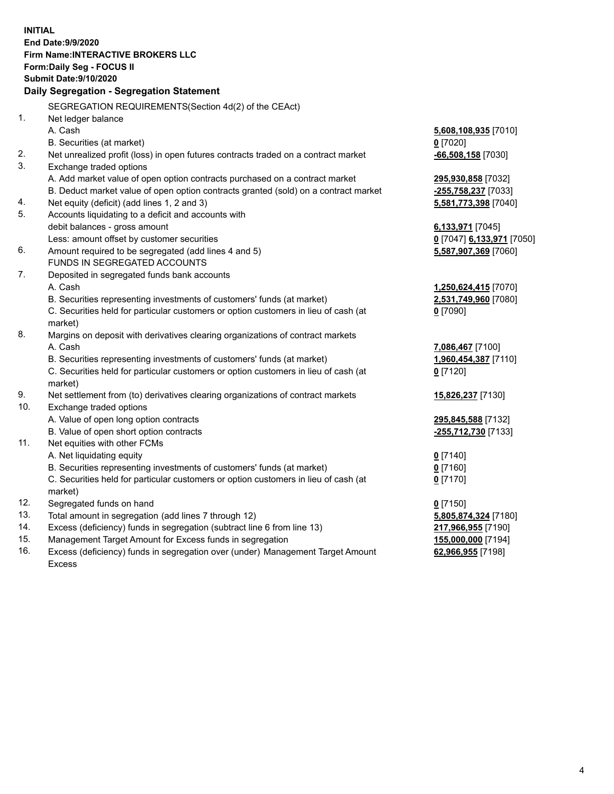**INITIAL End Date:9/9/2020 Firm Name:INTERACTIVE BROKERS LLC Form:Daily Seg - FOCUS II Submit Date:9/10/2020 Daily Segregation - Segregation Statement** SEGREGATION REQUIREMENTS(Section 4d(2) of the CEAct) 1. Net ledger balance A. Cash **5,608,108,935** [7010] B. Securities (at market) **0** [7020] 2. Net unrealized profit (loss) in open futures contracts traded on a contract market **-66,508,158** [7030] 3. Exchange traded options A. Add market value of open option contracts purchased on a contract market **295,930,858** [7032] B. Deduct market value of open option contracts granted (sold) on a contract market **-255,758,237** [7033] 4. Net equity (deficit) (add lines 1, 2 and 3) **5,581,773,398** [7040] 5. Accounts liquidating to a deficit and accounts with debit balances - gross amount **6,133,971** [7045] Less: amount offset by customer securities **0** [7047] **6,133,971** [7050] 6. Amount required to be segregated (add lines 4 and 5) **5,587,907,369** [7060] FUNDS IN SEGREGATED ACCOUNTS 7. Deposited in segregated funds bank accounts A. Cash **1,250,624,415** [7070] B. Securities representing investments of customers' funds (at market) **2,531,749,960** [7080] C. Securities held for particular customers or option customers in lieu of cash (at market) **0** [7090] 8. Margins on deposit with derivatives clearing organizations of contract markets A. Cash **7,086,467** [7100] B. Securities representing investments of customers' funds (at market) **1,960,454,387** [7110] C. Securities held for particular customers or option customers in lieu of cash (at market) **0** [7120] 9. Net settlement from (to) derivatives clearing organizations of contract markets **15,826,237** [7130] 10. Exchange traded options A. Value of open long option contracts **295,845,588** [7132] B. Value of open short option contracts **-255,712,730** [7133] 11. Net equities with other FCMs A. Net liquidating equity **0** [7140] B. Securities representing investments of customers' funds (at market) **0** [7160] C. Securities held for particular customers or option customers in lieu of cash (at market) **0** [7170] 12. Segregated funds on hand **0** [7150] 13. Total amount in segregation (add lines 7 through 12) **5,805,874,324** [7180] 14. Excess (deficiency) funds in segregation (subtract line 6 from line 13) **217,966,955** [7190] 15. Management Target Amount for Excess funds in segregation **155,000,000** [7194] **62,966,955** [7198]

16. Excess (deficiency) funds in segregation over (under) Management Target Amount Excess